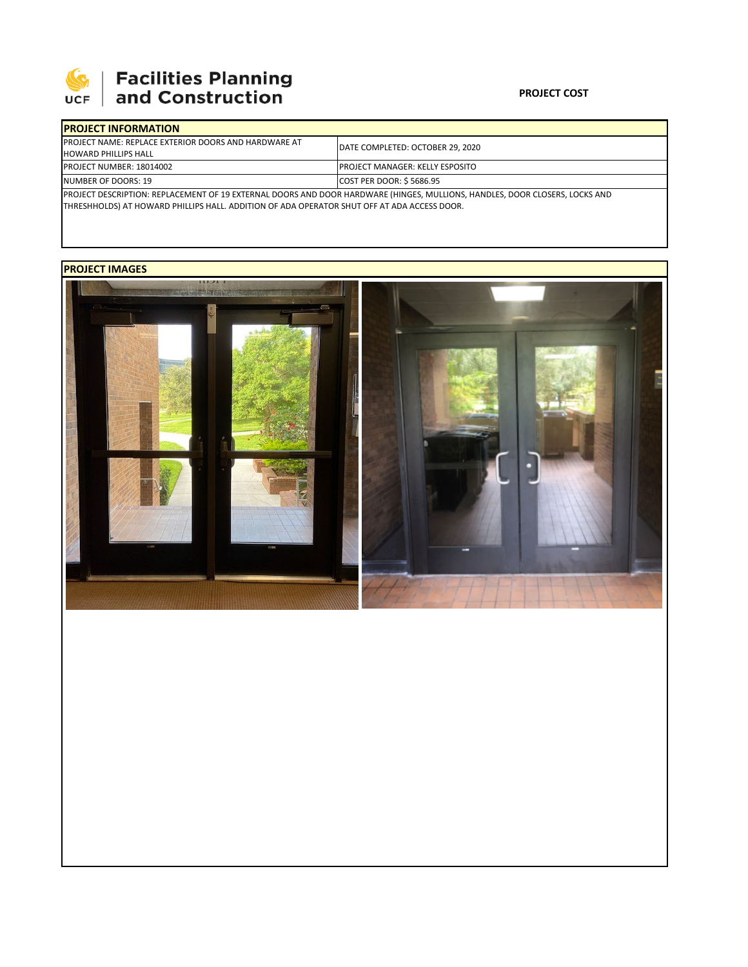

# **SEPTE AND Facilities Planning**<br>UCF and Construction

### **PROJECT COST**

| <b>IPROJECT INFORMATION</b>                                                                                                 |                                         |  |  |  |
|-----------------------------------------------------------------------------------------------------------------------------|-----------------------------------------|--|--|--|
| <b>IPROJECT NAME: REPLACE EXTERIOR DOORS AND HARDWARE AT</b>                                                                | DATE COMPLETED: OCTOBER 29, 2020        |  |  |  |
| <b>HOWARD PHILLIPS HALL</b>                                                                                                 |                                         |  |  |  |
| <b>PROJECT NUMBER: 18014002</b>                                                                                             | <b>IPROJECT MANAGER: KELLY ESPOSITO</b> |  |  |  |
| NUMBER OF DOORS: 19                                                                                                         | COST PER DOOR: \$5686.95                |  |  |  |
| PROJECT DESCRIPTION: REPLACEMENT OF 19 EXTERNAL DOORS AND DOOR HARDWARE (HINGES, MULLIONS, HANDLES, DOOR CLOSERS, LOCKS AND |                                         |  |  |  |

THRESHHOLDS) AT HOWARD PHILLIPS HALL. ADDITION OF ADA OPERATOR SHUT OFF AT ADA ACCESS DOOR.

## **PROJECT IMAGES**